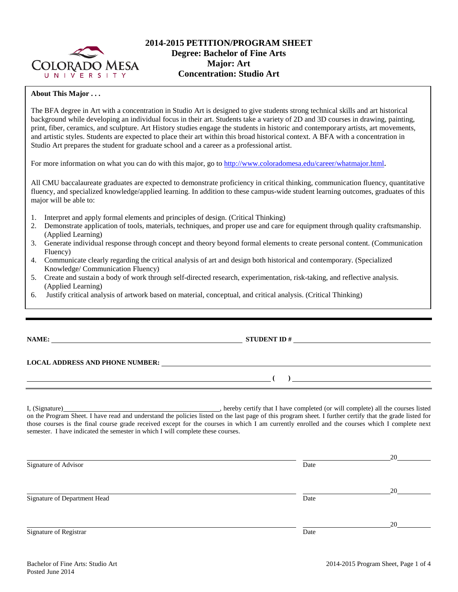

### **2014-2015 PETITION/PROGRAM SHEET Degree: Bachelor of Fine Arts Major: Art Concentration: Studio Art**

#### **About This Major . . .**

The BFA degree in Art with a concentration in Studio Art is designed to give students strong technical skills and art historical background while developing an individual focus in their art. Students take a variety of 2D and 3D courses in drawing, painting, print, fiber, ceramics, and sculpture. Art History studies engage the students in historic and contemporary artists, art movements, and artistic styles. Students are expected to place their art within this broad historical context. A BFA with a concentration in Studio Art prepares the student for graduate school and a career as a professional artist.

For more information on what you can do with this major, go t[o http://www.coloradomesa.edu/career/whatmajor.html.](http://www.coloradomesa.edu/career/whatmajor.html)

All CMU baccalaureate graduates are expected to demonstrate proficiency in critical thinking, communication fluency, quantitative fluency, and specialized knowledge/applied learning. In addition to these campus-wide student learning outcomes, graduates of this major will be able to:

- 1. Interpret and apply formal elements and principles of design. (Critical Thinking)
- 2. Demonstrate application of tools, materials, techniques, and proper use and care for equipment through quality craftsmanship. (Applied Learning)
- 3. Generate individual response through concept and theory beyond formal elements to create personal content. (Communication Fluency)
- 4. Communicate clearly regarding the critical analysis of art and design both historical and contemporary. (Specialized Knowledge/ Communication Fluency)
- 5. Create and sustain a body of work through self-directed research, experimentation, risk-taking, and reflective analysis. (Applied Learning)
- 6. Justify critical analysis of artwork based on material, conceptual, and critical analysis. (Critical Thinking)

# **NAME: STUDENT ID #**

## **LOCAL ADDRESS AND PHONE NUMBER:**

I, (Signature) , hereby certify that I have completed (or will complete) all the courses listed on the Program Sheet. I have read and understand the policies listed on the last page of this program sheet. I further certify that the grade listed for those courses is the final course grade received except for the courses in which I am currently enrolled and the courses which I complete next semester. I have indicated the semester in which I will complete these courses.

|                              |      | 20 |
|------------------------------|------|----|
| Signature of Advisor         | Date |    |
|                              |      |    |
|                              |      | 20 |
| Signature of Department Head | Date |    |
|                              |      |    |
|                              |      | 20 |
| Signature of Registrar       | Date |    |

**( )**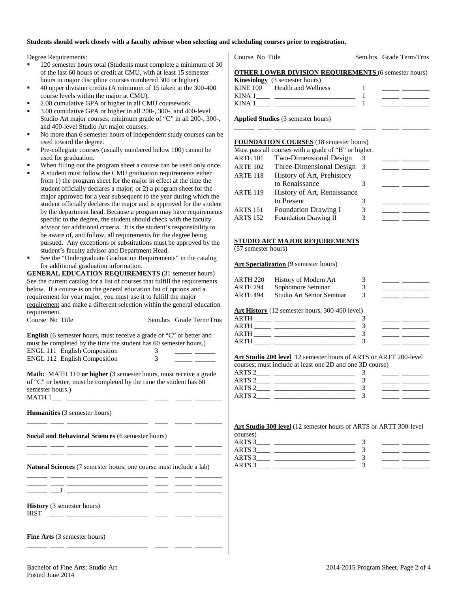### **Students should work closely with a faculty advisor when selecting and scheduling courses prior to registration.**

Degree Requirements:

- 120 semester hours total (Students must complete a minimum of 30 of the last 60 hours of credit at CMU, with at least 15 semester hours in major discipline courses numbered 300 or higher).
- 40 upper division credits (A minimum of 15 taken at the 300-400 course levels within the major at CMU).
- 2.00 cumulative GPA or higher in all CMU coursework
- 3.00 cumulative GPA or higher in all 200-, 300-, and 400-level Studio Art major courses; minimum grade of "C" in all 200-, 300-, and 400-level Studio Art major courses.
- No more than 6 semester hours of independent study courses can be used toward the degree.
- Pre-collegiate courses (usually numbered below 100) cannot be used for graduation.
- When filling out the program sheet a course can be used only once.
- A student must follow the CMU graduation requirements either from 1) the program sheet for the major in effect at the time the student officially declares a major; or 2) a program sheet for the major approved for a year subsequent to the year during which the student officially declares the major and is approved for the student by the department head. Because a program may have requirements specific to the degree, the student should check with the faculty advisor for additional criteria. It is the student's responsibility to be aware of, and follow, all requirements for the degree being pursued. Any exceptions or substitutions must be approved by the student's faculty advisor and Department Head.
- See the "Undergraduate Graduation Requirements" in the catalog for additional graduation information.

**GENERAL EDUCATION REQUIREMENTS** (31 semester hours) See the current catalog for a list of courses that fulfill the requirements below. If a course is on the general education list of options and a requirement for your major, you must use it to fulfill the major requirement and make a different selection within the general education requirement.

Course No Title Sem.hrs Grade Term/Trns

| <b>English</b> (6 semester hours, must receive a grade of "C" or better and |  |
|-----------------------------------------------------------------------------|--|
| must be completed by the time the student has 60 semester hours.)           |  |
| ENGL 111 English Composition                                                |  |
| <b>ENGL 112 English Composition</b>                                         |  |

**Math:** MATH 110 or higher (3 semester hours, must receive a grade of "C" or better, must be completed by the time the student has 60 semester hours.)  $MATH 1$ 

\_\_\_\_\_\_ \_\_\_\_ \_\_\_\_\_\_\_\_\_\_\_\_\_\_\_\_\_\_\_\_\_\_\_\_ \_\_\_\_ \_\_\_\_\_ \_\_\_\_\_\_\_\_

**Humanities** (3 semester hours)

**Social and Behavioral Sciences** (6 semester hours)

\_\_\_\_\_\_ \_\_\_\_ \_\_\_\_\_\_\_\_\_\_\_\_\_\_\_\_\_\_\_\_\_\_\_\_ \_\_\_\_ \_\_\_\_\_ \_\_\_\_\_\_\_\_

\_\_\_\_\_\_ \_\_\_\_ \_\_\_\_\_\_\_\_\_\_\_\_\_\_\_\_\_\_\_\_\_\_\_\_ \_\_\_\_ \_\_\_\_\_ \_\_\_\_\_\_\_\_

**Natural Sciences** (7 semester hours, one course must include a lab)

|  | ___ |  |
|--|-----|--|
|  |     |  |

\_\_\_\_\_\_ \_\_\_\_ \_\_\_\_\_\_\_\_\_\_\_\_\_\_\_\_\_\_\_\_\_\_\_\_ \_\_\_\_ \_\_\_\_\_ \_\_\_\_\_\_\_\_

**History** (3 semester hours) HIST \_\_\_\_ \_\_\_\_\_\_\_\_\_\_\_\_\_\_\_\_\_\_\_\_\_\_\_\_ \_\_\_\_ \_\_\_\_\_ \_\_\_\_\_\_\_\_

**Fine Arts** (3 semester hours)

Course No Title Sem.hrs Grade Term/Trns

#### **OTHER LOWER DIVISION REQUIREMENTS** (6 semester hours) **Kinesiology** (3 semester hours)

|             | <b>KIRSTORY</b> (3 SCHICSICI HOURS) |  |
|-------------|-------------------------------------|--|
| KINE 100    | <b>Health and Wellness</b>          |  |
| KINA        |                                     |  |
| <b>KINA</b> |                                     |  |

\_\_\_\_\_\_ \_\_\_\_ \_\_\_\_\_\_\_\_\_\_\_\_\_\_\_\_\_\_\_\_\_\_\_\_ \_\_\_\_ \_\_\_\_\_ \_\_\_\_\_\_\_\_

**Applied Studies** (3 semester hours)

#### **FOUNDATION COURSES** (18 semester hours)

| Must pass all courses with a grade of "B" or higher. |  |  |  |
|------------------------------------------------------|--|--|--|
|------------------------------------------------------|--|--|--|

| <b>ARTE 101</b> | Two-Dimensional Design       |   |  |
|-----------------|------------------------------|---|--|
| <b>ARTE 102</b> | Three-Dimensional Design     | 3 |  |
| <b>ARTE 118</b> | History of Art, Prehistory   |   |  |
|                 | to Renaissance               |   |  |
| <b>ARTE 119</b> | History of Art, Renaissance  |   |  |
|                 | to Present                   |   |  |
| <b>ARTS 151</b> | <b>Foundation Drawing I</b>  | 3 |  |
| <b>ARTS 152</b> | <b>Foundation Drawing II</b> | 3 |  |

#### **STUDIO ART MAJOR REQUIREMENTS**

(57 semester hours)

**Art Specialization** (9 semester hours)

| ARTH 220 | History of Modern Art     |  |
|----------|---------------------------|--|
| ARTE 294 | Sophomore Seminar         |  |
| ARTE 494 | Studio Art Senior Seminar |  |
|          |                           |  |

**Art History** (12 semester hours, 300-400 level)

| A R'I'L |  |  |
|---------|--|--|
| ARTH    |  |  |
|         |  |  |

#### **Art Studio 200 level** 12 semester hours of ARTS or ARTT 200-level

|                   | courses; must include at least one 2D and one 3D course) |  |
|-------------------|----------------------------------------------------------|--|
| ARTS <sub>2</sub> |                                                          |  |
| ARTS <sub>2</sub> |                                                          |  |
| ARTS <sub>2</sub> |                                                          |  |
| ARTS <sub>2</sub> |                                                          |  |

### **Art Studio 300 level** (12 semester hours of ARTS or ARTT 300-level

| יי<br>. .<br>٧<br>×. |  |
|----------------------|--|
|                      |  |

| ARTS 3 |  |  |
|--------|--|--|
| ARTS 3 |  |  |
| ARTS 3 |  |  |
| ARTS 3 |  |  |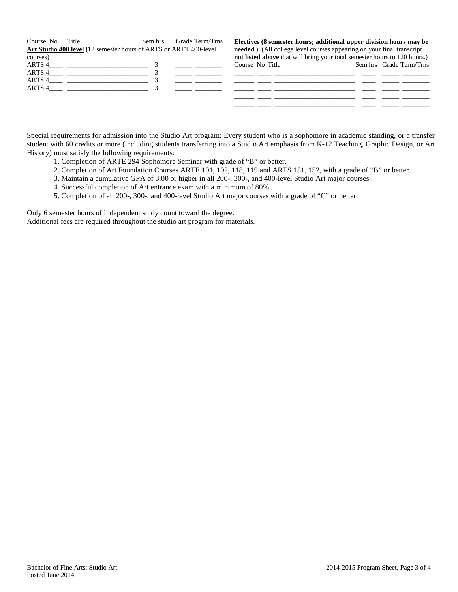| Course No | Title<br>Art Studio 400 level (12 semester hours of ARTS or ARTT 400-level | Sem.hrs | Grade Term/Trns |                 | Electives (8 semester hours; additional upper division hours may be<br><b>needed.</b> ) (All college level courses appearing on your final transcript, |                         |
|-----------|----------------------------------------------------------------------------|---------|-----------------|-----------------|--------------------------------------------------------------------------------------------------------------------------------------------------------|-------------------------|
| courses)  |                                                                            |         |                 |                 | not listed above that will bring your total semester hours to 120 hours.)                                                                              |                         |
| ARTS 4    |                                                                            |         |                 | Course No Title |                                                                                                                                                        | Sem.hrs Grade Term/Trns |
| ARTS 4    |                                                                            |         |                 |                 |                                                                                                                                                        |                         |
| ARTS 4    |                                                                            |         |                 |                 |                                                                                                                                                        |                         |
| ARTS 4    |                                                                            |         |                 |                 |                                                                                                                                                        |                         |
|           |                                                                            |         |                 |                 |                                                                                                                                                        |                         |
|           |                                                                            |         |                 |                 |                                                                                                                                                        |                         |
|           |                                                                            |         |                 |                 |                                                                                                                                                        |                         |

Special requirements for admission into the Studio Art program: Every student who is a sophomore in academic standing, or a transfer student with 60 credits or more (including students transferring into a Studio Art emphasis from K-12 Teaching, Graphic Design, or Art History) must satisfy the following requirements:

- 1. Completion of ARTE 294 Sophomore Seminar with grade of "B" or better.
- 2. Completion of Art Foundation Courses ARTE 101, 102, 118, 119 and ARTS 151, 152, with a grade of "B" or better.
- 3. Maintain a cumulative GPA of 3.00 or higher in all 200-, 300-, and 400-level Studio Art major courses.
- 4. Successful completion of Art entrance exam with a minimum of 80%.
- 5. Completion of all 200-, 300-, and 400-level Studio Art major courses with a grade of "C" or better.

Only 6 semester hours of independent study count toward the degree.

Additional fees are required throughout the studio art program for materials.